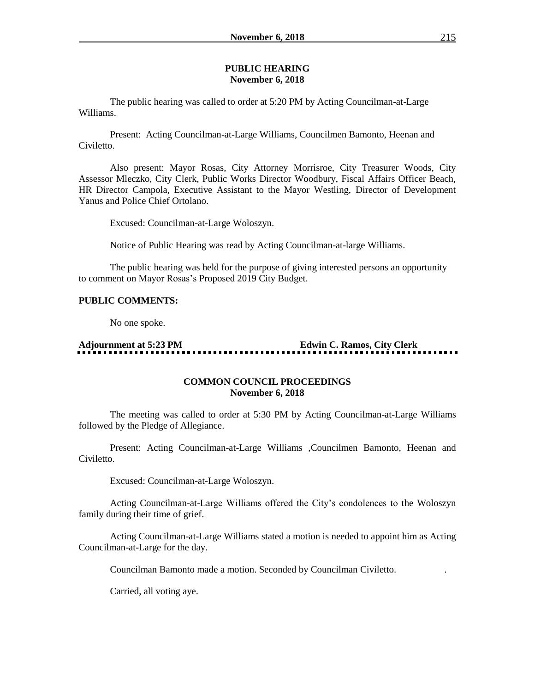#### **PUBLIC HEARING November 6, 2018**

The public hearing was called to order at 5:20 PM by Acting Councilman-at-Large Williams.

Present: Acting Councilman-at-Large Williams, Councilmen Bamonto, Heenan and Civiletto.

Also present: Mayor Rosas, City Attorney Morrisroe, City Treasurer Woods, City Assessor Mleczko, City Clerk, Public Works Director Woodbury, Fiscal Affairs Officer Beach, HR Director Campola, Executive Assistant to the Mayor Westling, Director of Development Yanus and Police Chief Ortolano.

Excused: Councilman-at-Large Woloszyn.

Notice of Public Hearing was read by Acting Councilman-at-large Williams.

The public hearing was held for the purpose of giving interested persons an opportunity to comment on Mayor Rosas's Proposed 2019 City Budget.

#### **PUBLIC COMMENTS:**

No one spoke.

# **Adjournment at 5:23 PM Edwin C. Ramos, City Clerk**

## **COMMON COUNCIL PROCEEDINGS November 6, 2018**

The meeting was called to order at 5:30 PM by Acting Councilman-at-Large Williams followed by the Pledge of Allegiance.

Present: Acting Councilman-at-Large Williams ,Councilmen Bamonto, Heenan and Civiletto.

Excused: Councilman-at-Large Woloszyn.

Acting Councilman-at-Large Williams offered the City's condolences to the Woloszyn family during their time of grief.

Acting Councilman-at-Large Williams stated a motion is needed to appoint him as Acting Councilman-at-Large for the day.

Councilman Bamonto made a motion. Seconded by Councilman Civiletto. .

Carried, all voting aye.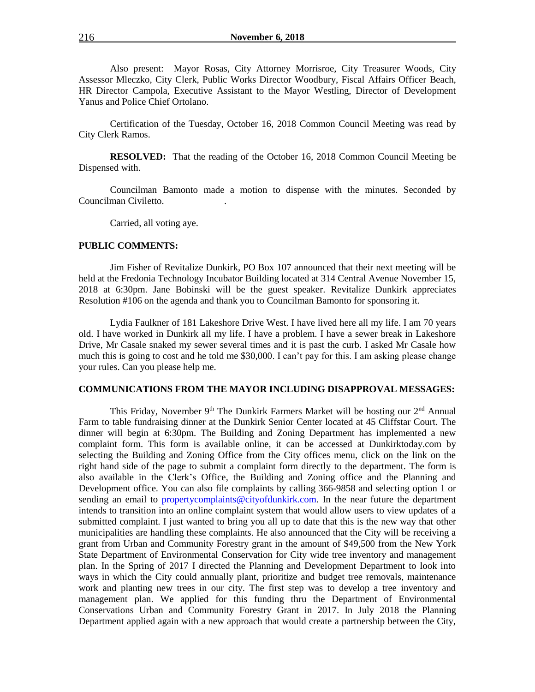Also present: Mayor Rosas, City Attorney Morrisroe, City Treasurer Woods, City Assessor Mleczko, City Clerk, Public Works Director Woodbury, Fiscal Affairs Officer Beach, HR Director Campola, Executive Assistant to the Mayor Westling, Director of Development Yanus and Police Chief Ortolano.

Certification of the Tuesday, October 16, 2018 Common Council Meeting was read by City Clerk Ramos.

**RESOLVED:** That the reading of the October 16, 2018 Common Council Meeting be Dispensed with.

Councilman Bamonto made a motion to dispense with the minutes. Seconded by Councilman Civiletto. .

Carried, all voting aye.

#### **PUBLIC COMMENTS:**

Jim Fisher of Revitalize Dunkirk, PO Box 107 announced that their next meeting will be held at the Fredonia Technology Incubator Building located at 314 Central Avenue November 15, 2018 at 6:30pm. Jane Bobinski will be the guest speaker. Revitalize Dunkirk appreciates Resolution #106 on the agenda and thank you to Councilman Bamonto for sponsoring it.

Lydia Faulkner of 181 Lakeshore Drive West. I have lived here all my life. I am 70 years old. I have worked in Dunkirk all my life. I have a problem. I have a sewer break in Lakeshore Drive, Mr Casale snaked my sewer several times and it is past the curb. I asked Mr Casale how much this is going to cost and he told me \$30,000. I can't pay for this. I am asking please change your rules. Can you please help me.

#### **COMMUNICATIONS FROM THE MAYOR INCLUDING DISAPPROVAL MESSAGES:**

This Friday, November  $9<sup>th</sup>$  The Dunkirk Farmers Market will be hosting our  $2<sup>nd</sup>$  Annual Farm to table fundraising dinner at the Dunkirk Senior Center located at 45 Cliffstar Court. The dinner will begin at 6:30pm. The Building and Zoning Department has implemented a new complaint form. This form is available online, it can be accessed at Dunkirktoday.com by selecting the Building and Zoning Office from the City offices menu, click on the link on the right hand side of the page to submit a complaint form directly to the department. The form is also available in the Clerk's Office, the Building and Zoning office and the Planning and Development office. You can also file complaints by calling 366-9858 and selecting option 1 or sending an email to [propertycomplaints@cityofdunkirk.com.](mailto:propertycomplaints@cityofdunkirk.com) In the near future the department intends to transition into an online complaint system that would allow users to view updates of a submitted complaint. I just wanted to bring you all up to date that this is the new way that other municipalities are handling these complaints. He also announced that the City will be receiving a grant from Urban and Community Forestry grant in the amount of \$49,500 from the New York State Department of Environmental Conservation for City wide tree inventory and management plan. In the Spring of 2017 I directed the Planning and Development Department to look into ways in which the City could annually plant, prioritize and budget tree removals, maintenance work and planting new trees in our city. The first step was to develop a tree inventory and management plan. We applied for this funding thru the Department of Environmental Conservations Urban and Community Forestry Grant in 2017. In July 2018 the Planning Department applied again with a new approach that would create a partnership between the City,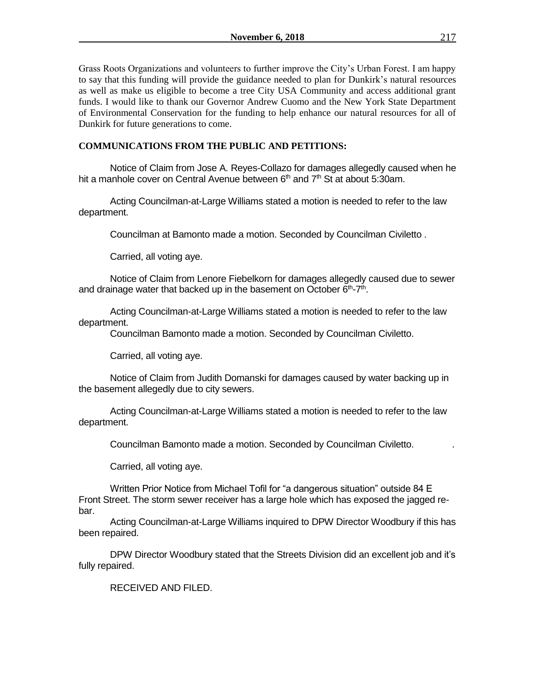Grass Roots Organizations and volunteers to further improve the City's Urban Forest. I am happy to say that this funding will provide the guidance needed to plan for Dunkirk's natural resources as well as make us eligible to become a tree City USA Community and access additional grant funds. I would like to thank our Governor Andrew Cuomo and the New York State Department of Environmental Conservation for the funding to help enhance our natural resources for all of Dunkirk for future generations to come.

# **COMMUNICATIONS FROM THE PUBLIC AND PETITIONS:**

Notice of Claim from Jose A. Reyes-Collazo for damages allegedly caused when he hit a manhole cover on Central Avenue between  $6<sup>th</sup>$  and  $7<sup>th</sup>$  St at about 5:30am.

Acting Councilman-at-Large Williams stated a motion is needed to refer to the law department.

Councilman at Bamonto made a motion. Seconded by Councilman Civiletto .

Carried, all voting aye.

Notice of Claim from Lenore Fiebelkorn for damages allegedly caused due to sewer and drainage water that backed up in the basement on October  $6<sup>th</sup>$ -7<sup>th</sup>.

Acting Councilman-at-Large Williams stated a motion is needed to refer to the law department.

Councilman Bamonto made a motion. Seconded by Councilman Civiletto.

Carried, all voting aye.

Notice of Claim from Judith Domanski for damages caused by water backing up in the basement allegedly due to city sewers.

Acting Councilman-at-Large Williams stated a motion is needed to refer to the law department.

Councilman Bamonto made a motion. Seconded by Councilman Civiletto. .

Carried, all voting aye.

Written Prior Notice from Michael Tofil for "a dangerous situation" outside 84 E Front Street. The storm sewer receiver has a large hole which has exposed the jagged rebar.

Acting Councilman-at-Large Williams inquired to DPW Director Woodbury if this has been repaired.

DPW Director Woodbury stated that the Streets Division did an excellent job and it's fully repaired.

RECEIVED AND FILED.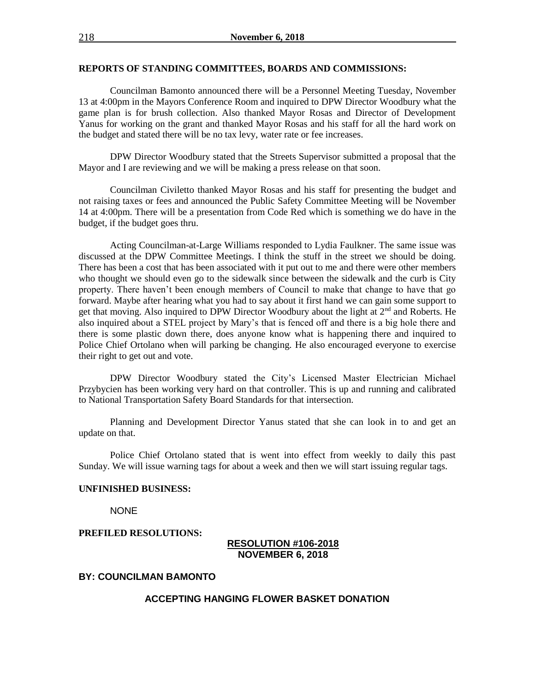#### **REPORTS OF STANDING COMMITTEES, BOARDS AND COMMISSIONS:**

Councilman Bamonto announced there will be a Personnel Meeting Tuesday, November 13 at 4:00pm in the Mayors Conference Room and inquired to DPW Director Woodbury what the game plan is for brush collection. Also thanked Mayor Rosas and Director of Development Yanus for working on the grant and thanked Mayor Rosas and his staff for all the hard work on the budget and stated there will be no tax levy, water rate or fee increases.

DPW Director Woodbury stated that the Streets Supervisor submitted a proposal that the Mayor and I are reviewing and we will be making a press release on that soon.

Councilman Civiletto thanked Mayor Rosas and his staff for presenting the budget and not raising taxes or fees and announced the Public Safety Committee Meeting will be November 14 at 4:00pm. There will be a presentation from Code Red which is something we do have in the budget, if the budget goes thru.

Acting Councilman-at-Large Williams responded to Lydia Faulkner. The same issue was discussed at the DPW Committee Meetings. I think the stuff in the street we should be doing. There has been a cost that has been associated with it put out to me and there were other members who thought we should even go to the sidewalk since between the sidewalk and the curb is City property. There haven't been enough members of Council to make that change to have that go forward. Maybe after hearing what you had to say about it first hand we can gain some support to get that moving. Also inquired to DPW Director Woodbury about the light at  $2<sup>nd</sup>$  and Roberts. He also inquired about a STEL project by Mary's that is fenced off and there is a big hole there and there is some plastic down there, does anyone know what is happening there and inquired to Police Chief Ortolano when will parking be changing. He also encouraged everyone to exercise their right to get out and vote.

DPW Director Woodbury stated the City's Licensed Master Electrician Michael Przybycien has been working very hard on that controller. This is up and running and calibrated to National Transportation Safety Board Standards for that intersection.

Planning and Development Director Yanus stated that she can look in to and get an update on that.

Police Chief Ortolano stated that is went into effect from weekly to daily this past Sunday. We will issue warning tags for about a week and then we will start issuing regular tags.

#### **UNFINISHED BUSINESS:**

**NONE** 

#### **PREFILED RESOLUTIONS:**

## **RESOLUTION #106-2018 NOVEMBER 6, 2018**

## **BY: COUNCILMAN BAMONTO**

#### **ACCEPTING HANGING FLOWER BASKET DONATION**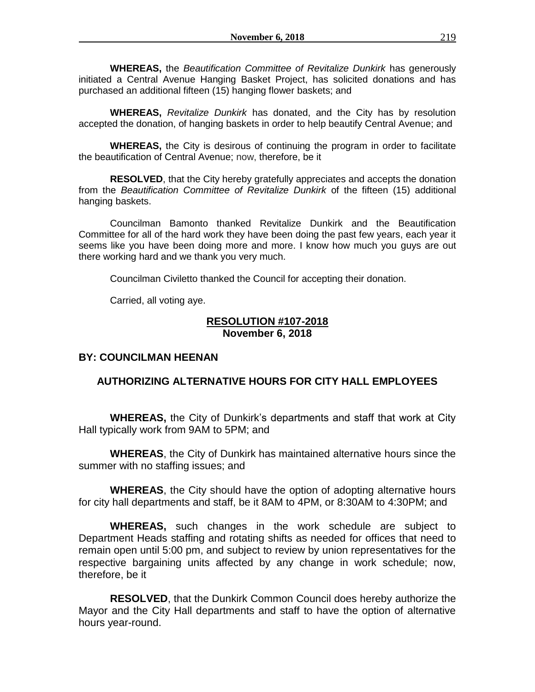**WHEREAS,** the *Beautification Committee of Revitalize Dunkirk* has generously initiated a Central Avenue Hanging Basket Project, has solicited donations and has purchased an additional fifteen (15) hanging flower baskets; and

**WHEREAS,** *Revitalize Dunkirk* has donated, and the City has by resolution accepted the donation, of hanging baskets in order to help beautify Central Avenue; and

**WHEREAS,** the City is desirous of continuing the program in order to facilitate the beautification of Central Avenue; now, therefore, be it

**RESOLVED**, that the City hereby gratefully appreciates and accepts the donation from the *Beautification Committee of Revitalize Dunkirk* of the fifteen (15) additional hanging baskets.

Councilman Bamonto thanked Revitalize Dunkirk and the Beautification Committee for all of the hard work they have been doing the past few years, each year it seems like you have been doing more and more. I know how much you guys are out there working hard and we thank you very much.

Councilman Civiletto thanked the Council for accepting their donation.

Carried, all voting aye.

# **RESOLUTION #107-2018 November 6, 2018**

# **BY: COUNCILMAN HEENAN**

# **AUTHORIZING ALTERNATIVE HOURS FOR CITY HALL EMPLOYEES**

**WHEREAS,** the City of Dunkirk's departments and staff that work at City Hall typically work from 9AM to 5PM; and

**WHEREAS**, the City of Dunkirk has maintained alternative hours since the summer with no staffing issues; and

**WHEREAS**, the City should have the option of adopting alternative hours for city hall departments and staff, be it 8AM to 4PM, or 8:30AM to 4:30PM; and

**WHEREAS,** such changes in the work schedule are subject to Department Heads staffing and rotating shifts as needed for offices that need to remain open until 5:00 pm, and subject to review by union representatives for the respective bargaining units affected by any change in work schedule; now, therefore, be it

**RESOLVED**, that the Dunkirk Common Council does hereby authorize the Mayor and the City Hall departments and staff to have the option of alternative hours year-round.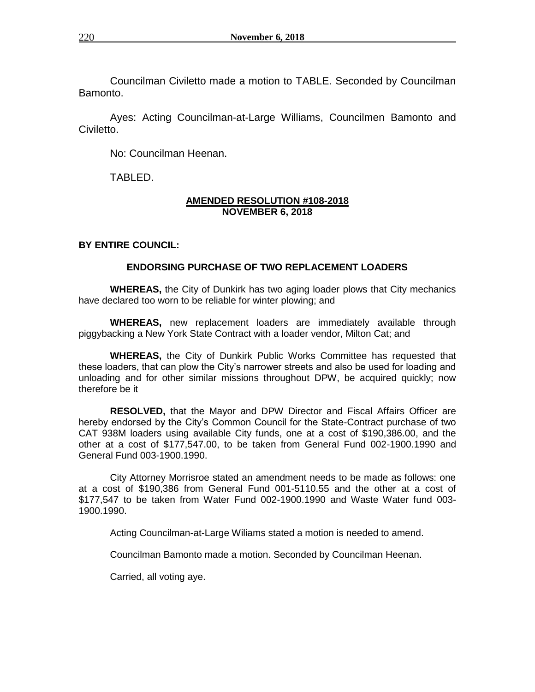Councilman Civiletto made a motion to TABLE. Seconded by Councilman Bamonto.

Ayes: Acting Councilman-at-Large Williams, Councilmen Bamonto and Civiletto.

No: Councilman Heenan.

TABLED.

## **AMENDED RESOLUTION #108-2018 NOVEMBER 6, 2018**

# **BY ENTIRE COUNCIL:**

# **ENDORSING PURCHASE OF TWO REPLACEMENT LOADERS**

**WHEREAS,** the City of Dunkirk has two aging loader plows that City mechanics have declared too worn to be reliable for winter plowing; and

**WHEREAS,** new replacement loaders are immediately available through piggybacking a New York State Contract with a loader vendor, Milton Cat; and

**WHEREAS,** the City of Dunkirk Public Works Committee has requested that these loaders, that can plow the City's narrower streets and also be used for loading and unloading and for other similar missions throughout DPW, be acquired quickly; now therefore be it

**RESOLVED,** that the Mayor and DPW Director and Fiscal Affairs Officer are hereby endorsed by the City's Common Council for the State-Contract purchase of two CAT 938M loaders using available City funds, one at a cost of \$190,386.00, and the other at a cost of \$177,547.00, to be taken from General Fund 002-1900.1990 and General Fund 003-1900.1990.

City Attorney Morrisroe stated an amendment needs to be made as follows: one at a cost of \$190,386 from General Fund 001-5110.55 and the other at a cost of \$177,547 to be taken from Water Fund 002-1900.1990 and Waste Water fund 003- 1900.1990.

Acting Councilman-at-Large Wiliams stated a motion is needed to amend.

Councilman Bamonto made a motion. Seconded by Councilman Heenan.

Carried, all voting aye.